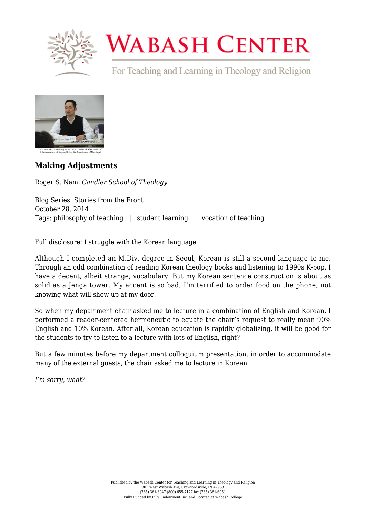

# **WABASH CENTER**

For Teaching and Learning in Theology and Religion



# **[Making Adjustments](https://www.wabashcenter.wabash.edu/2014/10/making-adjustments/)**

Roger S. Nam, *Candler School of Theology*

Blog Series: Stories from the Front October 28, 2014 Tags: philosophy of teaching | student learning | vocation of teaching

Full disclosure: I struggle with the Korean language.

Although I completed an M.Div. degree in Seoul, Korean is still a second language to me. Through an odd combination of reading Korean theology books and listening to 1990s K-pop, I have a decent, albeit strange, vocabulary. But my Korean sentence construction is about as solid as a Jenga tower. My accent is so bad, I'm terrified to order food on the phone, not knowing what will show up at my door.

So when my department chair asked me to lecture in a combination of English and Korean, I performed a reader-centered hermeneutic to equate the chair's request to really mean 90% English and 10% Korean. After all, Korean education is rapidly globalizing, it will be good for the students to try to listen to a lecture with lots of English, right?

But a few minutes before my department colloquium presentation, in order to accommodate many of the external guests, the chair asked me to lecture in Korean.

*I'm sorry, what?*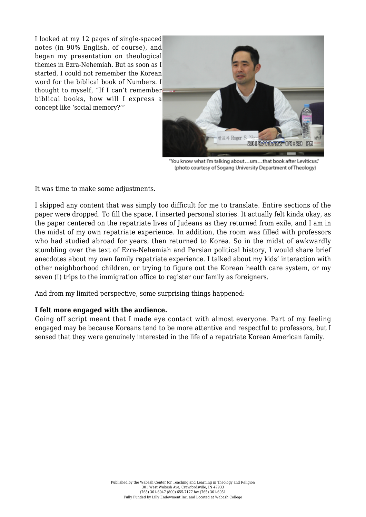I looked at my 12 pages of single-spaced notes (in 90% English, of course), and began my presentation on theological themes in Ezra-Nehemiah. But as soon as I started, I could not remember the Korean word for the biblical book of Numbers. I thought to myself, "If I can't remember biblical books, how will I express a concept like 'social memory?'"



"You know what I'm talking about...um...that book after Leviticus." (photo courtesy of Sogang University Department of Theology)

It was time to make some adjustments.

I skipped any content that was simply too difficult for me to translate. Entire sections of the paper were dropped. To fill the space, I inserted personal stories. It actually felt kinda okay, as the paper centered on the repatriate lives of Judeans as they returned from exile, and I am in the midst of my own repatriate experience. In addition, the room was filled with professors who had studied abroad for years, then returned to Korea. So in the midst of awkwardly stumbling over the text of Ezra-Nehemiah and Persian political history, I would share brief anecdotes about my own family repatriate experience. I talked about my kids' interaction with other neighborhood children, or trying to figure out the Korean health care system, or my seven (!) trips to the immigration office to register our family as foreigners.

And from my limited perspective, some surprising things happened:

#### **I felt more engaged with the audience.**

Going off script meant that I made eye contact with almost everyone. Part of my feeling engaged may be because Koreans tend to be more attentive and respectful to professors, but I sensed that they were genuinely interested in the life of a repatriate Korean American family.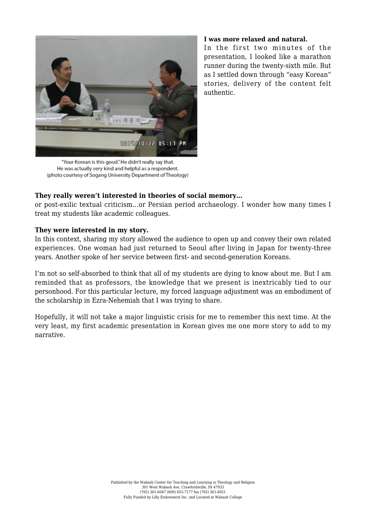

#### **I was more relaxed and natural.**

In the first two minutes of the presentation, I looked like a marathon runner during the twenty-sixth mile. But as I settled down through "easy Korean" stories, delivery of the content felt authentic.

"Your Korean is this good." He didn't really say that. He was actually very kind and helpful as a respondent. (photo courtesy of Sogang University Department of Theology)

## **They really weren't interested in theories of social memory…**

or post-exilic textual criticism…or Persian period archaeology. I wonder how many times I treat my students like academic colleagues.

## **They were interested in my story.**

In this context, sharing my story allowed the audience to open up and convey their own related experiences. One woman had just returned to Seoul after living in Japan for twenty-three years. Another spoke of her service between first- and second-generation Koreans.

I'm not so self-absorbed to think that all of my students are dying to know about me. But I am reminded that as professors, the knowledge that we present is inextricably tied to our personhood. For this particular lecture, my forced language adjustment was an embodiment of the scholarship in Ezra-Nehemiah that I was trying to share.

Hopefully, it will not take a major linguistic crisis for me to remember this next time. At the very least, my first academic presentation in Korean gives me one more story to add to my narrative.